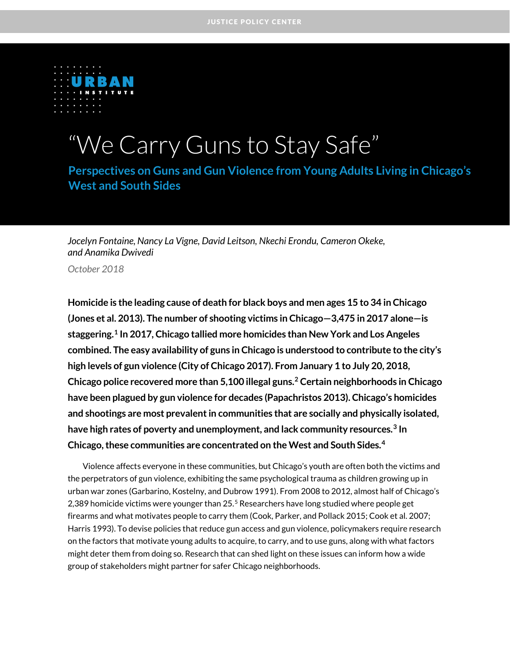

# "We Carry Guns to Stay Safe"

**Perspectives on Guns and Gun Violence from Young Adults Living in Chicago's West and South Sides** 

*Jocelyn Fontaine, Nancy La Vigne, David Leitson, Nkechi Erondu, Cameron Okeke, and Anamika Dwivedi*

*October 2018*

**Homicide is the leading cause of death for black boys and men ages 15 to 34 in Chicago (Jones et al. 2013). The number of shooting victims in Chicago—3,475 in 2017 alone—is staggering. [1](#page-11-0) In 2017, Chicago tallied more homicides than New York and Los Angeles combined. The easy availability of guns in Chicago is understood to contribute to the city's high levels of gun violence (City of Chicago 2017). From January 1 to July 20, 2018, Chicago police recovered more than 5,100 illegal guns. [2](#page-11-1) Certain neighborhoods in Chicago have been plagued by gun violence for decades (Papachristos 2013). Chicago's homicides and shootings are most prevalent in communities that are socially and physically isolated, have high rates of poverty and unemployment, and lack community resources.[3](#page-11-2) In Chicago, these communities are concentrated on the West and South Sides. [4](#page-11-3)**

Violence affects everyone in these communities, but Chicago's youth are often both the victims and the perpetrators of gun violence, exhibiting the same psychological trauma as children growing up in urban war zones (Garbarino, Kostelny, and Dubrow 1991). From 2008 to 2012, almost half of Chicago's 2,389 homicide victims were younger than 2[5](#page-11-4).<sup>5</sup> Researchers have long studied where people get firearms and what motivates people to carry them (Cook, Parker, and Pollack 2015; Cook et al. 2007; Harris 1993). To devise policies that reduce gun access and gun violence, policymakers require research on the factors that motivate young adults to acquire, to carry, and to use guns, along with what factors might deter them from doing so. Research that can shed light on these issues can inform how a wide group of stakeholders might partner for safer Chicago neighborhoods.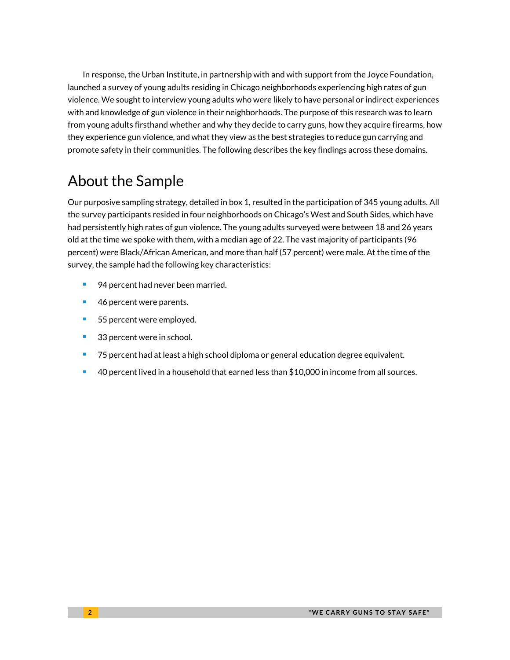In response, the Urban Institute, in partnership with and with support from the Joyce Foundation, launched a survey of young adults residing in Chicago neighborhoods experiencing high rates of gun violence. We sought to interview young adults who were likely to have personal or indirect experiences with and knowledge of gun violence in their neighborhoods. The purpose of this research was to learn from young adults firsthand whether and why they decide to carry guns, how they acquire firearms, how they experience gun violence, and what they view as the best strategies to reduce gun carrying and promote safety in their communities. The following describes the key findings across these domains.

# About the Sample

Our purposive sampling strategy, detailed in box 1, resulted in the participation of 345 young adults. All the survey participants resided in four neighborhoods on Chicago's West and South Sides, which have had persistently high rates of gun violence. The young adults surveyed were between 18 and 26 years old at the time we spoke with them, with a median age of 22. The vast majority of participants (96 percent) were Black/African American, and more than half (57 percent) were male. At the time of the survey, the sample had the following key characteristics:

- 94 percent had never been married.
- 46 percent were parents.
- 55 percent were employed.
- 33 percent were in school.
- **75 percent had at least a high school diploma or general education degree equivalent.**
- 40 percent lived in a household that earned less than \$10,000 in income from all sources.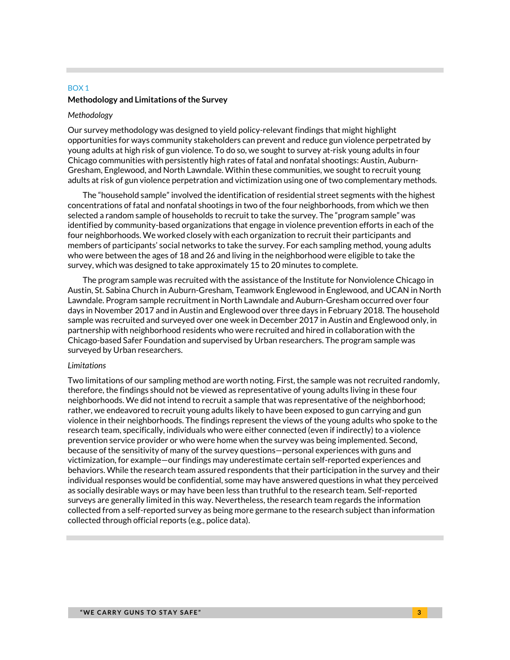## BOX 1 **Methodology and Limitations of the Survey**

#### *Methodology*

Our survey methodology was designed to yield policy-relevant findings that might highlight opportunities for ways community stakeholders can prevent and reduce gun violence perpetrated by young adults at high risk of gun violence. To do so, we sought to survey at-risk young adults in four Chicago communities with persistently high rates of fatal and nonfatal shootings: Austin, Auburn-Gresham, Englewood, and North Lawndale. Within these communities, we sought to recruit young adults at risk of gun violence perpetration and victimization using one of two complementary methods.

The "household sample" involved the identification of residential street segments with the highest concentrations of fatal and nonfatal shootings in two of the four neighborhoods, from which we then selected a random sample of households to recruit to take the survey. The "program sample" was identified by community-based organizations that engage in violence prevention efforts in each of the four neighborhoods. We worked closely with each organization to recruit their participants and members of participants' social networks to take the survey. For each sampling method, young adults who were between the ages of 18 and 26 and living in the neighborhood were eligible to take the survey, which was designed to take approximately 15 to 20 minutes to complete.

The program sample was recruited with the assistance of the Institute for Nonviolence Chicago in Austin, St. Sabina Church in Auburn-Gresham, Teamwork Englewood in Englewood, and UCAN in North Lawndale. Program sample recruitment in North Lawndale and Auburn-Gresham occurred over four days in November 2017 and in Austin and Englewood over three days in February 2018. The household sample was recruited and surveyed over one week in December 2017 in Austin and Englewood only, in partnership with neighborhood residents who were recruited and hired in collaboration with the Chicago-based Safer Foundation and supervised by Urban researchers. The program sample was surveyed by Urban researchers.

#### *Limitations*

Two limitations of our sampling method are worth noting. First, the sample was not recruited randomly, therefore, the findings should not be viewed as representative of young adults living in these four neighborhoods. We did not intend to recruit a sample that was representative of the neighborhood; rather, we endeavored to recruit young adults likely to have been exposed to gun carrying and gun violence in their neighborhoods. The findings represent the views of the young adults who spoke to the research team, specifically, individuals who were either connected (even if indirectly) to a violence prevention service provider or who were home when the survey was being implemented. Second, because of the sensitivity of many of the survey questions—personal experiences with guns and victimization, for example—our findings may underestimate certain self-reported experiences and behaviors. While the research team assured respondents that their participation in the survey and their individual responses would be confidential, some may have answered questions in what they perceived as socially desirable ways or may have been less than truthful to the research team. Self-reported surveys are generally limited in this way. Nevertheless, the research team regards the information collected from a self-reported survey as being more germane to the research subject than information collected through official reports (e.g., police data).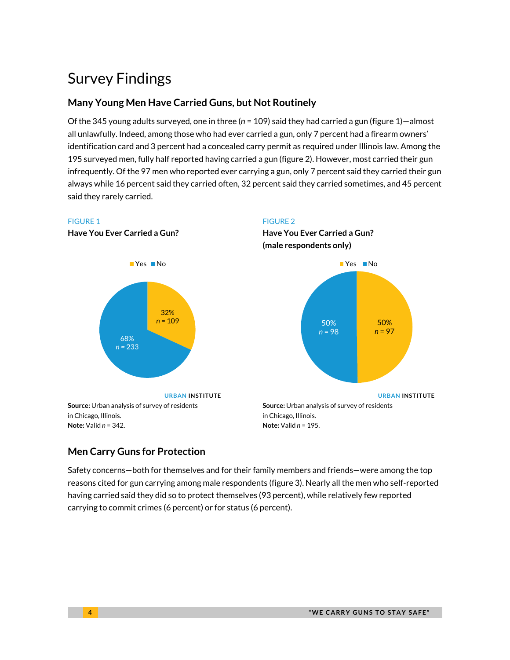# Survey Findings

# **Many Young Men Have Carried Guns, but Not Routinely**

Of the 345 young adults surveyed, one in three (*n* = 109) said they had carried a gun (figure 1)—almost all unlawfully. Indeed, among those who had ever carried a gun, only 7 percent had a firearm owners' identification card and 3 percent had a concealed carry permit as required under Illinois law. Among the 195 surveyed men, fully half reported having carried a gun (figure 2). However, most carried their gun infrequently. Of the 97 men who reported ever carrying a gun, only 7 percent said they carried their gun always while 16 percent said they carried often, 32 percent said they carried sometimes, and 45 percent said they rarely carried.



# **Men Carry Guns for Protection**

Safety concerns—both for themselves and for their family members and friends—were among the top reasons cited for gun carrying among male respondents (figure 3). Nearly all the men who self-reported having carried said they did so to protect themselves (93 percent), while relatively few reported carrying to commit crimes (6 percent) or for status (6 percent).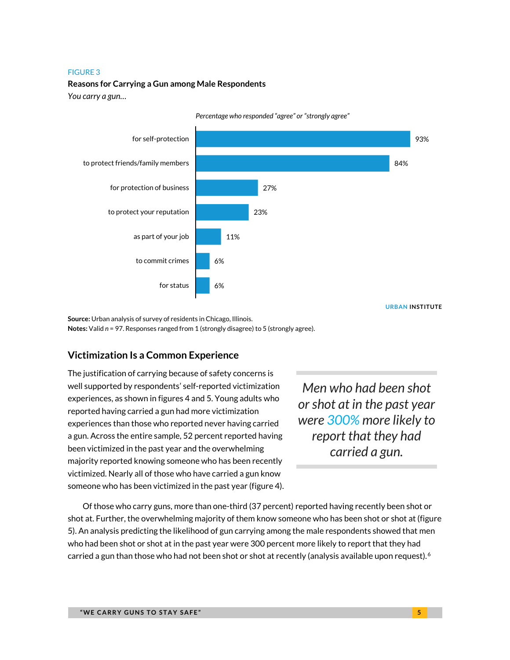#### FIGURE 3

### **Reasons for Carrying a Gun among Male Respondents**

*You carry a gun…*



*Percentage who responded "agree" or "strongly agree"*

**URBAN INSTITUTE**

**Source:** Urban analysis of survey of residents in Chicago, Illinois. **Notes:** Valid *n* = 97. Responses ranged from 1 (strongly disagree) to 5 (strongly agree).

# **Victimization Is a Common Experience**

The justification of carrying because of safety concerns is well supported by respondents' self-reported victimization experiences, as shown in figures 4 and 5. Young adults who reported having carried a gun had more victimization experiences than those who reported never having carried a gun. Across the entire sample, 52 percent reported having been victimized in the past year and the overwhelming majority reported knowing someone who has been recently victimized. Nearly all of those who have carried a gun know someone who has been victimized in the past year (figure 4).

*Men who had been shot or shot at in the past year were 300% more likely to report that they had carried a gun.*

Of those who carry guns, more than one-third (37 percent) reported having recently been shot or shot at. Further, the overwhelming majority of them know someone who has been shot or shot at (figure 5). An analysis predicting the likelihood of gun carrying among the male respondents showed that men who had been shot or shot at in the past year were 300 percent more likely to report that they had carried a gun than those who had not been shot or shot at recently (analysis available upon request).  $6$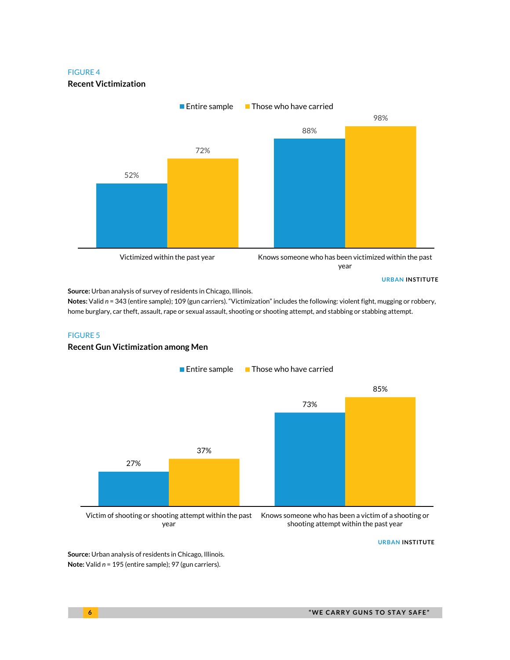#### FIGURE 4

**Recent Victimization**



**Source:** Urban analysis of survey of residents in Chicago, Illinois.

**Notes:** Valid *n* = 343 (entire sample); 109 (gun carriers). "Victimization" includes the following: violent fight, mugging or robbery, home burglary, car theft, assault, rape or sexual assault, shooting or shooting attempt, and stabbing or stabbing attempt.

### FIGURE 5

### **Recent Gun Victimization among Men**



year

Knows someone who has been a victim of a shooting or shooting attempt within the past year

**URBAN INSTITUTE**

**Source:** Urban analysis of residents in Chicago, Illinois. **Note:** Valid *n* = 195 (entire sample); 97 (gun carriers).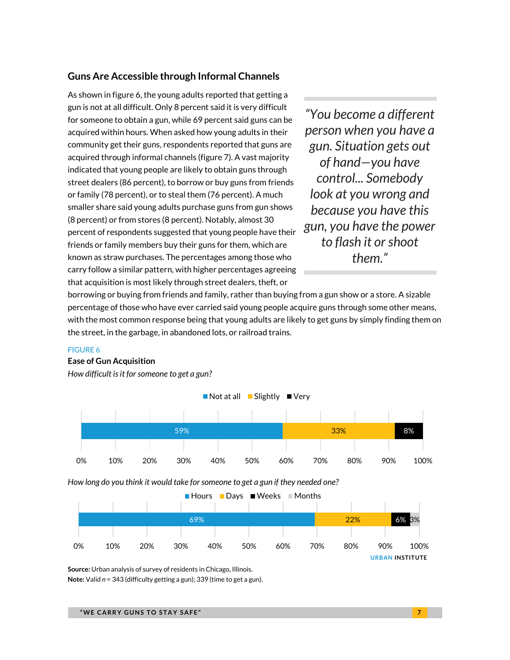# **Guns Are Accessible through Informal Channels**

As shown in figure 6, the young adults reported that getting a gun is not at all difficult. Only 8 percent said it is very difficult for someone to obtain a gun, while 69 percent said guns can be acquired within hours. When asked how young adults in their community get their guns, respondents reported that guns are acquired through informal channels (figure 7). A vast majority indicated that young people are likely to obtain guns through street dealers (86 percent), to borrow or buy guns from friends or family (78 percent), or to steal them (76 percent). A much smaller share said young adults purchase guns from gun shows (8 percent) or from stores (8 percent). Notably, almost 30 percent of respondents suggested that young people have their friends or family members buy their guns for them, which are known as straw purchases. The percentages among those who carry follow a similar pattern, with higher percentages agreeing that acquisition is most likely through street dealers, theft, or

*"You become a different person when you have a gun. Situation gets out of hand—you have control... Somebody look at you wrong and because you have this gun, you have the power to flash it or shoot them."*

borrowing or buying from friends and family, rather than buying from a gun show or a store. A sizable percentage of those who have ever carried said young people acquire guns through some other means, with the most common response being that young adults are likely to get guns by simply finding them on the street, in the garbage, in abandoned lots, or railroad trains.

### FIGURE 6

#### **Ease of Gun Acquisition**

*How difficult is it for someone to get a gun?*



*How long do you think it would take for someone to get a gun if they needed one?*



**Source:** Urban analysis of survey of residents in Chicago, Illinois. **Note:** Valid *n* = 343 (difficulty getting a gun); 339 (time to get a gun).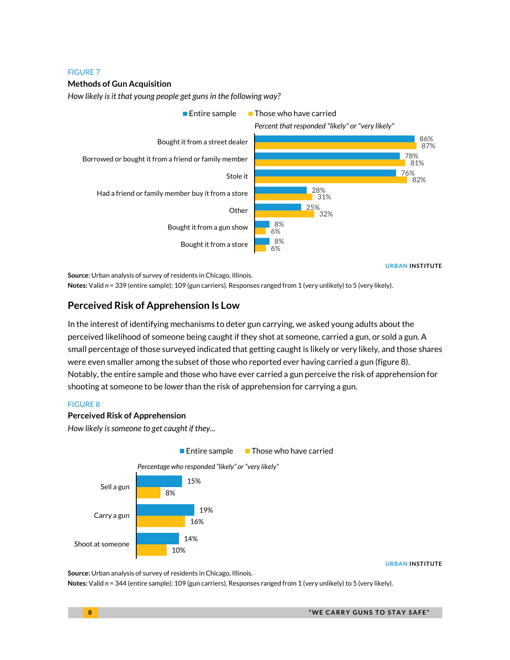#### FIGURE 7

### **Methods of Gun Acquisition**

*How likely is it that young people get guns in the following way?*



**URBAN INSTITUTE**

**Source**: Urban analysis of survey of residents in Chicago, Illinois.

**Notes:** Valid *n* = 339 (entire sample); 109 (gun carriers). Responses ranged from 1 (very unlikely) to 5 (very likely).

# **Perceived Risk of Apprehension Is Low**

In the interest of identifying mechanisms to deter gun carrying, we asked young adults about the perceived likelihood of someone being caught if they shot at someone, carried a gun, or sold a gun. A small percentage of those surveyed indicated that getting caught is likely or very likely, and those shares were even smaller among the subset of those who reported ever having carried a gun (figure 8). Notably, the entire sample and those who have ever carried a gun perceive the risk of apprehension for shooting at someone to be *lower* than the risk of apprehension for carrying a gun.

### FIGURE 8

### **Perceived Risk of Apprehension**

*How likely is someone to get caught if they...*



**URBAN INSTITUTE**

**Source:** Urban analysis of survey of residents in Chicago, Illinois.

**Notes:** Valid *n* = 344 (entire sample); 109 (gun carriers). Responses ranged from 1 (very unlikely) to 5 (very likely).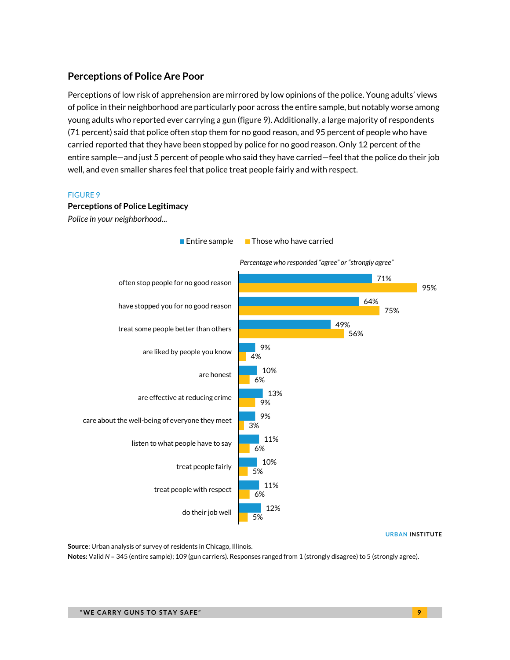# **Perceptions of Police Are Poor**

Perceptions of low risk of apprehension are mirrored by low opinions of the police. Young adults' views of police in their neighborhood are particularly poor across the entire sample, but notably worse among young adults who reported ever carrying a gun (figure 9). Additionally, a large majority of respondents (71 percent) said that police often stop them for no good reason, and 95 percent of people who have carried reported that they have been stopped by police for no good reason. Only 12 percent of the entire sample—and just 5 percent of people who said they have carried—feel that the police do their job well, and even smaller shares feel that police treat people fairly and with respect.

### FIGURE 9

# **Perceptions of Police Legitimacy** *Police in your neighborhood...*

5% 6% 5% 6% 3% 9% 6% 4% 56% 75% 95% 12% 11% 10% 11% 9% 13% 10% 9% 49% 64% 71% do their job well treat people with respect treat people fairly listen to what people have to say care about the well-being of everyone they meet are effective at reducing crime are honest are liked by people you know treat some people better than others have stopped you for no good reason often stop people for no good reason Entire sample  $\Box$  Those who have carried *Percentage who responded "agree" or "strongly agree"*

**URBAN INSTITUTE**

**Source**: Urban analysis of survey of residents in Chicago, Illinois.

**Notes:** Valid *N* = 345 (entire sample); 109 (gun carriers). Responses ranged from 1 (strongly disagree) to 5 (strongly agree).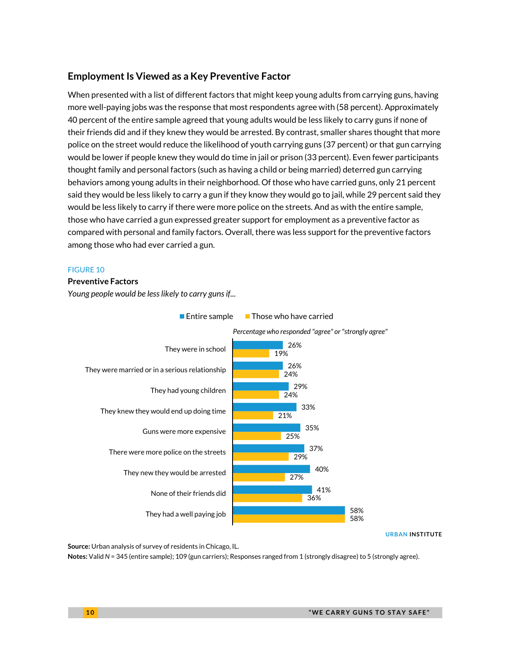# **Employment Is Viewed as a Key Preventive Factor**

When presented with a list of different factors that might keep young adults from carrying guns, having more well-paying jobs was the response that most respondents agree with (58 percent). Approximately 40 percent of the entire sample agreed that young adults would be less likely to carry guns if none of their friends did and if they knew they would be arrested. By contrast, smaller shares thought that more police on the street would reduce the likelihood of youth carrying guns (37 percent) or that gun carrying would be lower if people knew they would do time in jail or prison (33 percent). Even fewer participants thought family and personal factors (such as having a child or being married) deterred gun carrying behaviors among young adults in their neighborhood. Of those who have carried guns, only 21 percent said they would be less likely to carry a gun if they know they would go to jail, while 29 percent said they would be less likely to carry if there were more police on the streets. And as with the entire sample, those who have carried a gun expressed greater support for employment as a preventive factor as compared with personal and family factors. Overall, there was less support for the preventive factors among those who had ever carried a gun.

### FIGURE 10

#### **Preventive Factors**

*Young people would be less likely to carry guns if...*



### Entire sample  $\Box$  Those who have carried

**URBAN INSTITUTE**

**Source:** Urban analysis of survey of residents in Chicago, IL.

**Notes:** Valid *N* = 345 (entire sample); 109 (gun carriers); Responses ranged from 1 (strongly disagree) to 5 (strongly agree).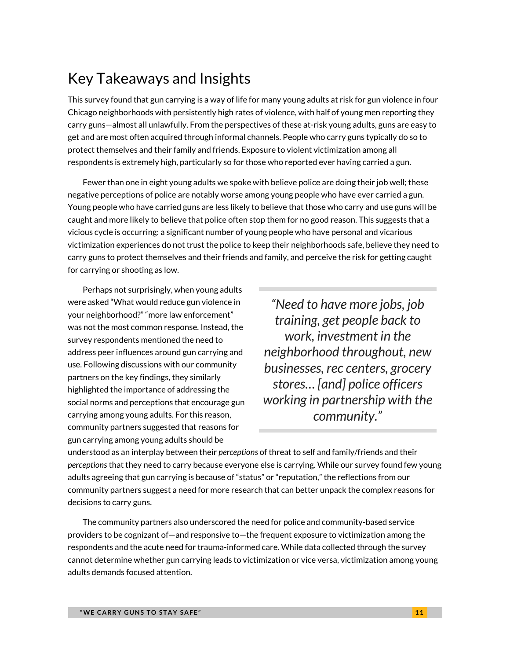# Key Takeaways and Insights

This survey found that gun carrying is a way of life for many young adults at risk for gun violence in four Chicago neighborhoods with persistently high rates of violence, with half of young men reporting they carry guns—almost all unlawfully. From the perspectives of these at-risk young adults, guns are easy to get and are most often acquired through informal channels. People who carry guns typically do so to protect themselves and their family and friends. Exposure to violent victimization among all respondents is extremely high, particularly so for those who reported ever having carried a gun.

Fewer than one in eight young adults we spoke with believe police are doing their job well; these negative perceptions of police are notably worse among young people who have ever carried a gun. Young people who have carried guns are less likely to believe that those who carry and use guns will be caught and more likely to believe that police often stop them for no good reason. This suggests that a vicious cycle is occurring: a significant number of young people who have personal and vicarious victimization experiences do not trust the police to keep their neighborhoods safe, believe they need to carry guns to protect themselves and their friends and family, and perceive the risk for getting caught for carrying or shooting as low.

Perhaps not surprisingly, when young adults were asked "What would reduce gun violence in your neighborhood?" "more law enforcement" was not the most common response. Instead, the survey respondents mentioned the need to address peer influences around gun carrying and use. Following discussions with our community partners on the key findings, they similarly highlighted the importance of addressing the social norms and perceptions that encourage gun carrying among young adults. For this reason, community partners suggested that reasons for gun carrying among young adults should be

*"Need to have more jobs, job training, get people back to work, investment in the neighborhood throughout, new businesses, rec centers, grocery stores… [and] police officers working in partnership with the community."*

understood as an interplay between their *perceptions* of threat to self and family/friends and their *perceptions* that they need to carry because everyone else is carrying. While our survey found few young adults agreeing that gun carrying is because of "status" or "reputation," the reflections from our community partners suggest a need for more research that can better unpack the complex reasons for decisions to carry guns.

The community partners also underscored the need for police and community-based service providers to be cognizant of—and responsive to—the frequent exposure to victimization among the respondents and the acute need for trauma-informed care. While data collected through the survey cannot determine whether gun carrying leads to victimization or vice versa, victimization among young adults demands focused attention.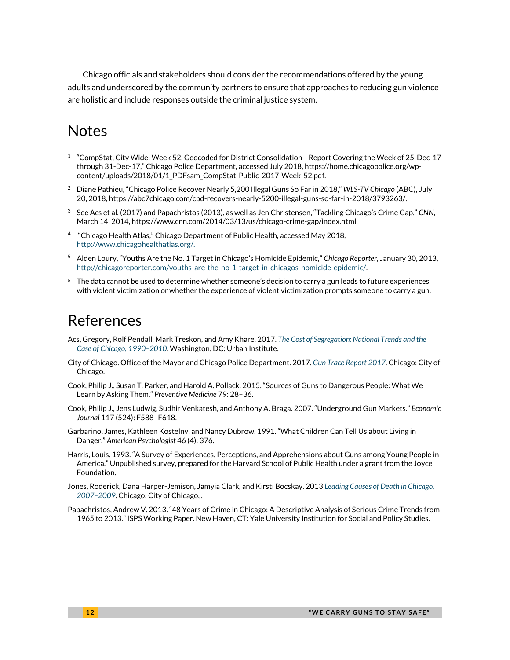Chicago officials and stakeholders should consider the recommendations offered by the young adults and underscored by the community partners to ensure that approaches to reducing gun violence are holistic and include responses outside the criminal justice system.

# **Notes**

- <span id="page-11-0"></span> $1$  "CompStat, City Wide: Week 52, Geocoded for District Consolidation–Report Covering the Week of 25-Dec-17 through 31-Dec-17," Chicago Police Department, accessed July 2018, https://home.chicagopolice.org/wpcontent/uploads/2018/01/1\_PDFsam\_CompStat-Public-2017-Week-52.pdf.
- <span id="page-11-1"></span><sup>2</sup> Diane Pathieu, "Chicago Police Recover Nearly 5,200 Illegal Guns So Far in 2018," *WLS-TV Chicago* (ABC), July 20, 2018, https://abc7chicago.com/cpd-recovers-nearly-5200-illegal-guns-so-far-in-2018/3793263/.
- <span id="page-11-2"></span><sup>3</sup> See Acs et al. (2017) and Papachristos (2013), as well as Jen Christensen, "Tackling Chicago's Crime Gap," *CNN*, March 14, 2014, https://www.cnn.com/2014/03/13/us/chicago-crime-gap/index.html.
- <span id="page-11-3"></span><sup>4</sup> "Chicago Health Atlas," Chicago Department of Public Health, accessed May 2018, [http://www.chicagohealthatlas.org/.](http://www.chicagohealthatlas.org/)
- <span id="page-11-4"></span><sup>5</sup> Alden Loury, "Youths Are the No. 1 Target in Chicago's Homicide Epidemic," *Chicago Reporter*, January 30, 2013, [http://chicagoreporter.com/youths-are-the-no-1-target-in-chicagos-homicide-epidemic/.](http://chicagoreporter.com/youths-are-the-no-1-target-in-chicagos-homicide-epidemic/)
- <span id="page-11-5"></span>The data cannot be used to determine whether someone's decision to carry a gun leads to future experiences with violent victimization or whether the experience of violent victimization prompts someone to carry a gun.

# References

- Acs, Gregory, Rolf Pendall, Mark Treskon, and Amy Khare. 2017. *[The Cost of Segregation: National Trends and the](https://www.urban.org/research/publication/cost-segregation)  [Case of Chicago, 1990–2010](https://www.urban.org/research/publication/cost-segregation)*. Washington, DC: Urban Institute.
- City of Chicago. Office of the Mayor and Chicago Police Department. 2017. *[Gun Trace Report](https://www.cityofchicago.org/content/dam/city/depts/mayor/Press%20Room/Press%20Releases/2017/October/GTR2017.pdf) 2017*. Chicago: City of Chicago.
- Cook, Philip J., Susan T. Parker, and Harold A. Pollack. 2015. "Sources of Guns to Dangerous People: What We Learn by Asking Them." *Preventive Medicine* 79: 28–36.
- Cook, Philip J., Jens Ludwig, Sudhir Venkatesh, and Anthony A. Braga. 2007. "Underground Gun Markets." *Economic Journal* 117 (524): F588–F618.
- Garbarino, James, Kathleen Kostelny, and Nancy Dubrow. 1991. "What Children Can Tell Us about Living in Danger." *American Psychologist* 46 (4): 376.
- Harris, Louis. 1993. "A Survey of Experiences, Perceptions, and Apprehensions about Guns among Young People in America." Unpublished survey, prepared for the Harvard School of Public Health under a grant from the Joyce Foundation.
- Jones, Roderick, Dana Harper-Jemison, Jamyia Clark, and Kirsti Bocskay. 2013 *[Leading Causes of Death in Chicago,](https://www.cityofchicago.org/content/dam/city/depts/cdph/statistics_and_reports/LeadingCausesofDeathinChicago2007-2009.pdf)  [2007–2009](https://www.cityofchicago.org/content/dam/city/depts/cdph/statistics_and_reports/LeadingCausesofDeathinChicago2007-2009.pdf)*. Chicago: City of Chicago, .
- Papachristos, Andrew V. 2013. "48 Years of Crime in Chicago: A Descriptive Analysis of Serious Crime Trends from 1965 to 2013."ISPS Working Paper. New Haven, CT: Yale University Institution for Social and Policy Studies.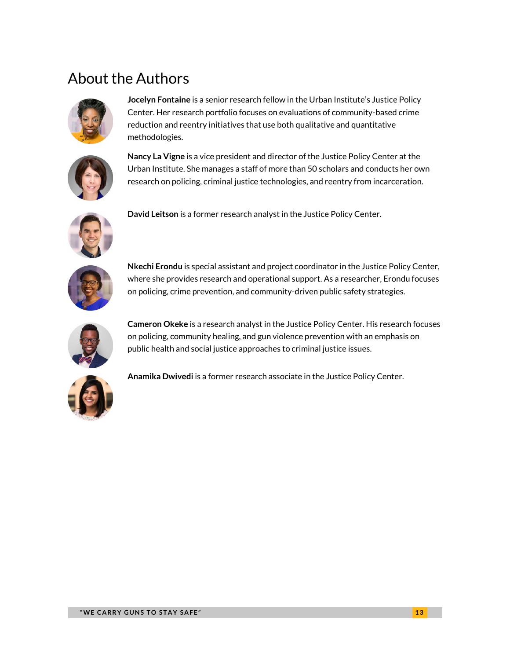# About the Authors



**Jocelyn Fontaine** is a senior research fellow in the Urban Institute's Justice Policy Center. Her research portfolio focuses on evaluations of community-based crime reduction and reentry initiatives that use both qualitative and quantitative methodologies.



**Nancy La Vigne** is a vice president and director of the Justice Policy Center at the Urban Institute. She manages a staff of more than 50 scholars and conducts her own research on policing, criminal justice technologies, and reentry from incarceration.



**David Leitson** is a former research analyst in the Justice Policy Center.



**Nkechi Erondu** is special assistant and project coordinator in the Justice Policy Center, where she provides research and operational support. As a researcher, Erondu focuses on policing, crime prevention, and community-driven public safety strategies.



**Cameron Okeke** is a research analyst in the Justice Policy Center. His research focuses on policing, community healing, and gun violence prevention with an emphasis on public health and social justice approaches to criminal justice issues.



**Anamika Dwivedi** is a former research associate in the Justice Policy Center.